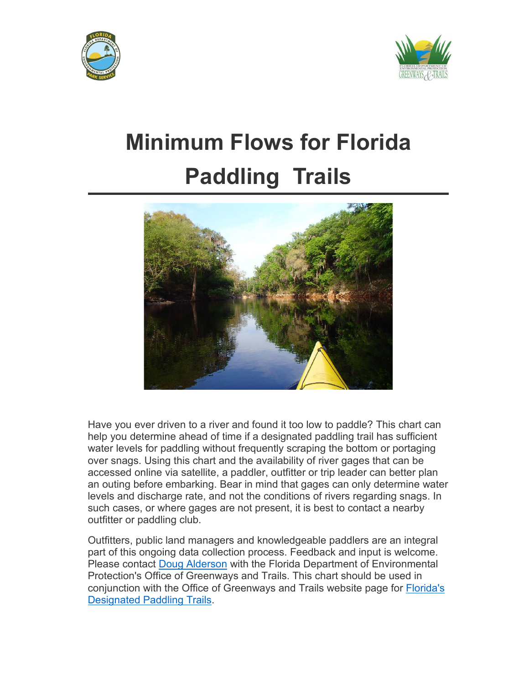



# **Minimum Flows for Florida Paddling Trails**



Have you ever driven to a river and found it too low to paddle? This chart can help you determine ahead of time if a designated paddling trail has sufficient water levels for paddling without frequently scraping the bottom or portaging over snags. Using this chart and the availability of river gages that can be accessed online via satellite, a paddler, outfitter or trip leader can better plan an outing before embarking. Bear in mind that gages can only determine water levels and discharge rate, and not the conditions of rivers regarding snags. In such cases, or where gages are not present, it is best to contact a nearby outfitter or paddling club.

Outfitters, public land managers and knowledgeable paddlers are an integral part of this ongoing data collection process. Feedback and input is welcome. Please contact [Doug Alderson](mailto:doug.alderson@dep.state.fl.us) with the Florida Department of Environmental Protection's Office of Greenways and Trails. This chart should be used in conjunction with the Office of Greenways and Trails website page for [Florida's](https://floridadep.gov/PaddlingTrails)  [Designated Paddling Trails.](https://floridadep.gov/PaddlingTrails)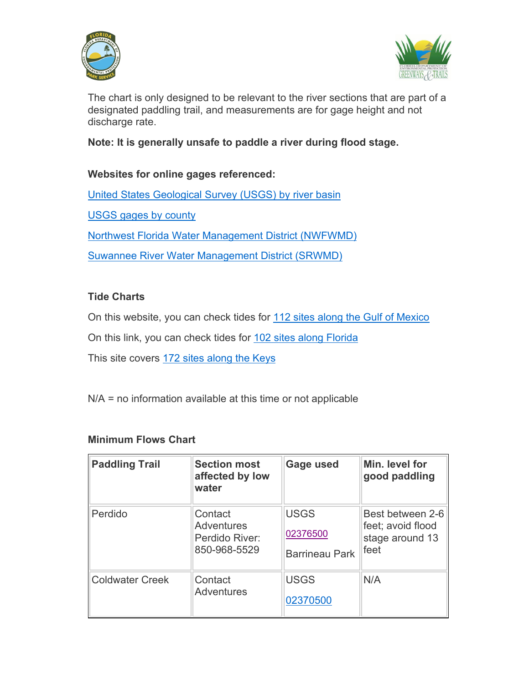



The chart is only designed to be relevant to the river sections that are part of a designated paddling trail, and measurements are for gage height and not discharge rate.

## **Note: It is generally unsafe to paddle a river during flood stage.**

### **Websites for online gages referenced:**

[United States Geological Survey \(USGS\) by river basin](http://waterdata.usgs.gov/fl/nwis/current/?type=flow&group_key=basin_cd) [USGS gages by county](http://waterdata.usgs.gov/fl/nwis/current?type=flow&group_key=county_cd&search_site_no_station_nm=) [Northwest Florida Water Management District \(NWFWMD\)](http://www.nwfwater.com/Data-Publications/Hydrologic-Data/District-wide-Map-of-Stage-Stations)

[Suwannee River Water Management District \(SRWMD\)](http://www.mysuwanneeriver.org/realtime/river-levels.php)

### **Tide Charts**

On this website, you can check tides for [112 sites along the Gulf of Mexico](http://www.saltwatertides.com/dynamic.dir/floridagulfsites.html)

On this link, you can check tides for [102 sites along Florida](http://www.saltwatertides.com/dynamic.dir/floridaatlanticsites.html)

This site covers [172 sites along the Keys](http://www.saltwatertides.com/dynamic.dir/floridakeyssites.html)

N/A = no information available at this time or not applicable

| <b>Paddling Trail</b>  | <b>Section most</b><br>affected by low<br>water         | <b>Gage used</b>                                 | Min. level for<br>good paddling                                  |
|------------------------|---------------------------------------------------------|--------------------------------------------------|------------------------------------------------------------------|
| Perdido                | Contact<br>Adventures<br>Perdido River:<br>850-968-5529 | <b>USGS</b><br>02376500<br><b>Barrineau Park</b> | Best between 2-6<br>feet; avoid flood<br>stage around 13<br>feet |
| <b>Coldwater Creek</b> | Contact<br><b>Adventures</b>                            | <b>USGS</b><br>02370500                          | N/A                                                              |

### **Minimum Flows Chart**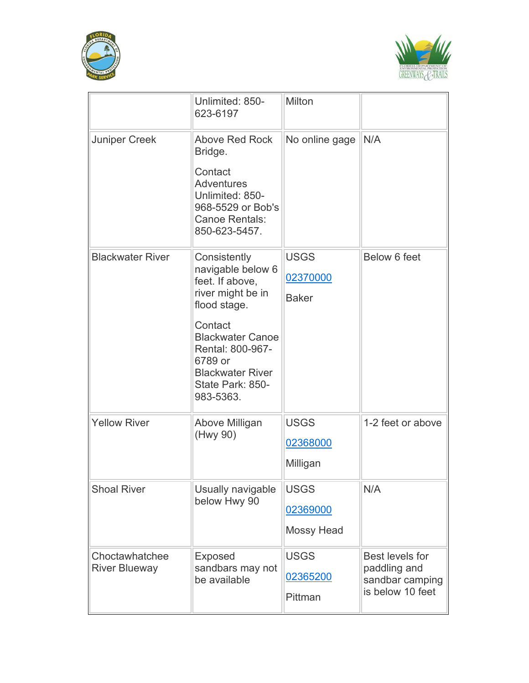



|                                        | Unlimited: 850-<br>623-6197                                                                                                                                                                                                | <b>Milton</b>                                |                                                                        |
|----------------------------------------|----------------------------------------------------------------------------------------------------------------------------------------------------------------------------------------------------------------------------|----------------------------------------------|------------------------------------------------------------------------|
| Juniper Creek                          | <b>Above Red Rock</b><br>Bridge.<br>Contact<br><b>Adventures</b><br>Unlimited: 850-<br>968-5529 or Bob's<br><b>Canoe Rentals:</b><br>850-623-5457.                                                                         | No online gage                               | N/A                                                                    |
| <b>Blackwater River</b>                | Consistently<br>navigable below 6<br>feet. If above,<br>river might be in<br>flood stage.<br>Contact<br><b>Blackwater Canoe</b><br>Rental: 800-967-<br>6789 or<br><b>Blackwater River</b><br>State Park: 850-<br>983-5363. | <b>USGS</b><br>02370000<br><b>Baker</b>      | Below 6 feet                                                           |
| <b>Yellow River</b>                    | Above Milligan<br>(Hwy 90)                                                                                                                                                                                                 | <b>USGS</b><br>02368000<br>Milligan          | 1-2 feet or above                                                      |
| <b>Shoal River</b>                     | Usually navigable<br>below Hwy 90                                                                                                                                                                                          | <b>USGS</b><br>02369000<br><b>Mossy Head</b> | N/A                                                                    |
| Choctawhatchee<br><b>River Blueway</b> | <b>Exposed</b><br>sandbars may not<br>be available                                                                                                                                                                         | <b>USGS</b><br>02365200<br>Pittman           | Best levels for<br>paddling and<br>sandbar camping<br>is below 10 feet |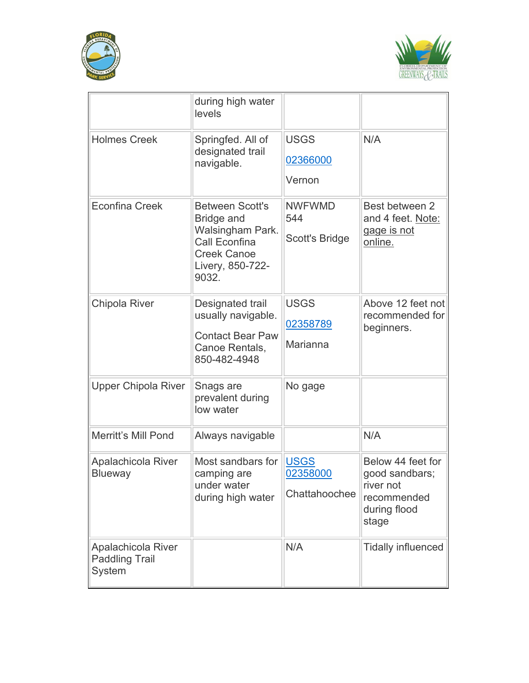



|                                                       | during high water<br>levels                                                                                                                |                                               |                                                                                          |
|-------------------------------------------------------|--------------------------------------------------------------------------------------------------------------------------------------------|-----------------------------------------------|------------------------------------------------------------------------------------------|
| <b>Holmes Creek</b>                                   | Springfed. All of<br>designated trail<br>navigable.                                                                                        | <b>USGS</b><br>02366000<br>Vernon             | N/A                                                                                      |
| <b>Econfina Creek</b>                                 | <b>Between Scott's</b><br><b>Bridge and</b><br>Walsingham Park.<br><b>Call Econfina</b><br><b>Creek Canoe</b><br>Livery, 850-722-<br>9032. | <b>NWFWMD</b><br>544<br><b>Scott's Bridge</b> | Best between 2<br>and 4 feet. Note:<br>gage is not<br>online.                            |
| Chipola River                                         | Designated trail<br>usually navigable.<br><b>Contact Bear Paw</b><br>Canoe Rentals,<br>850-482-4948                                        | <b>USGS</b><br>02358789<br>Marianna           | Above 12 feet not<br>recommended for<br>beginners.                                       |
| <b>Upper Chipola River</b>                            | Snags are<br>prevalent during<br>low water                                                                                                 | No gage                                       |                                                                                          |
| <b>Merritt's Mill Pond</b>                            | Always navigable                                                                                                                           |                                               | N/A                                                                                      |
| Apalachicola River<br>Blueway                         | Most sandbars for<br>camping are<br>under water<br>during high water                                                                       | <b>USGS</b><br>02358000<br>Chattahoochee      | Below 44 feet for<br>good sandbars;<br>river not<br>recommended<br>during flood<br>stage |
| Apalachicola River<br><b>Paddling Trail</b><br>System |                                                                                                                                            | N/A                                           | <b>Tidally influenced</b>                                                                |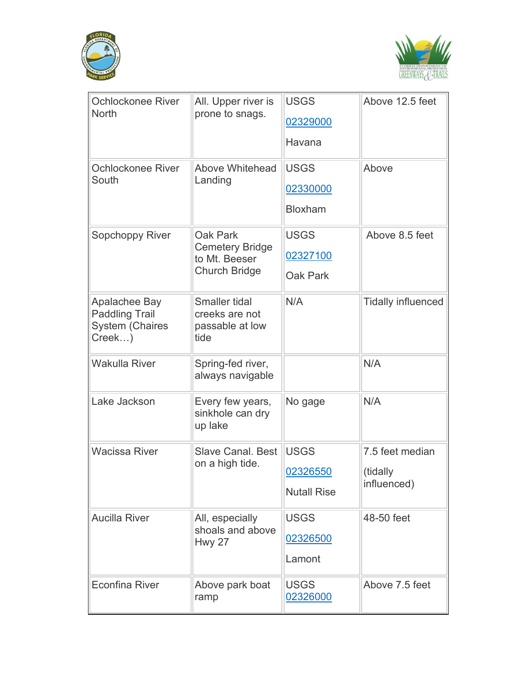



| Ochlockonee River<br><b>North</b>                                             | All. Upper river is<br>prone to snags.                                      | <b>USGS</b><br>02329000<br>Havana             | Above 12.5 feet                            |
|-------------------------------------------------------------------------------|-----------------------------------------------------------------------------|-----------------------------------------------|--------------------------------------------|
| Ochlockonee River<br>South                                                    | Above Whitehead<br>Landing                                                  | <b>USGS</b><br>02330000<br><b>Bloxham</b>     | Above                                      |
| <b>Sopchoppy River</b>                                                        | Oak Park<br><b>Cemetery Bridge</b><br>to Mt. Beeser<br><b>Church Bridge</b> | <b>USGS</b><br>02327100<br><b>Oak Park</b>    | Above 8.5 feet                             |
| Apalachee Bay<br><b>Paddling Trail</b><br><b>System (Chaires</b><br>$Creek$ ) | <b>Smaller tidal</b><br>creeks are not<br>passable at low<br>tide           | N/A                                           | <b>Tidally influenced</b>                  |
| <b>Wakulla River</b>                                                          | Spring-fed river,<br>always navigable                                       |                                               | N/A                                        |
| Lake Jackson                                                                  | Every few years,<br>sinkhole can dry<br>up lake                             | No gage                                       | N/A                                        |
| <b>Wacissa River</b>                                                          | <b>Slave Canal, Best</b><br>on a high tide.                                 | <b>USGS</b><br>02326550<br><b>Nutall Rise</b> | 7.5 feet median<br>(tidally<br>influenced) |
| <b>Aucilla River</b>                                                          | All, especially<br>shoals and above<br><b>Hwy 27</b>                        | <b>USGS</b><br>02326500<br>Lamont             | 48-50 feet                                 |
| <b>Econfina River</b>                                                         | Above park boat<br>ramp                                                     | <b>USGS</b><br>02326000                       | Above 7.5 feet                             |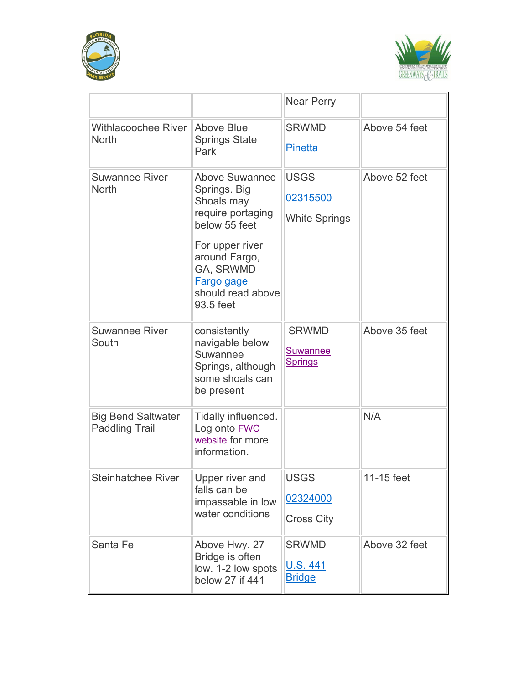



|                                                    |                                                                                                                                                                                            | <b>Near Perry</b>                                 |               |
|----------------------------------------------------|--------------------------------------------------------------------------------------------------------------------------------------------------------------------------------------------|---------------------------------------------------|---------------|
| <b>Withlacoochee River</b><br><b>North</b>         | <b>Above Blue</b><br><b>Springs State</b><br>Park                                                                                                                                          | <b>SRWMD</b><br><b>Pinetta</b>                    | Above 54 feet |
| <b>Suwannee River</b><br><b>North</b>              | <b>Above Suwannee</b><br>Springs. Big<br>Shoals may<br>require portaging<br>below 55 feet<br>For upper river<br>around Fargo,<br>GA, SRWMD<br>Fargo gage<br>should read above<br>93.5 feet | <b>USGS</b><br>02315500<br><b>White Springs</b>   | Above 52 feet |
| <b>Suwannee River</b><br>South                     | consistently<br>navigable below<br>Suwannee<br>Springs, although<br>some shoals can<br>be present                                                                                          | <b>SRWMD</b><br><b>Suwannee</b><br><b>Springs</b> | Above 35 feet |
| <b>Big Bend Saltwater</b><br><b>Paddling Trail</b> | Tidally influenced.<br>Log onto <b>FWC</b><br>website for more<br>information.                                                                                                             |                                                   | N/A           |
| Steinhatchee River                                 | Upper river and<br>falls can be<br>impassable in low<br>water conditions                                                                                                                   | <b>USGS</b><br>02324000<br><b>Cross City</b>      | 11-15 feet    |
| Santa Fe                                           | Above Hwy. 27<br>Bridge is often<br>low. 1-2 low spots<br>below 27 if 441                                                                                                                  | <b>SRWMD</b><br><u>U.S. 441</u><br><b>Bridge</b>  | Above 32 feet |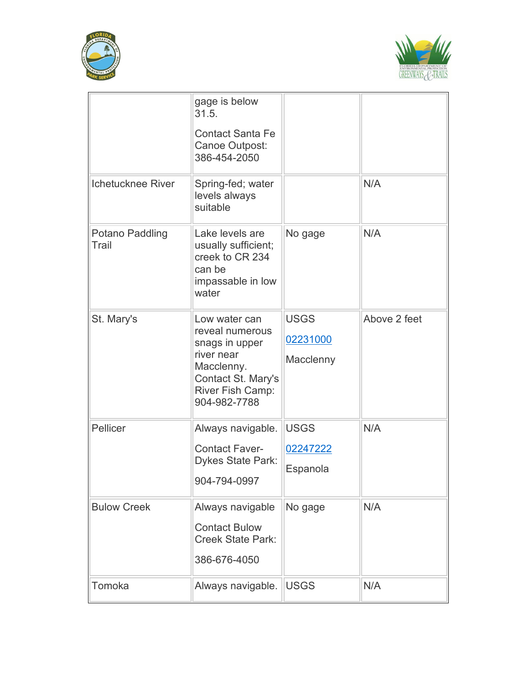



|                          | gage is below<br>31.5.<br><b>Contact Santa Fe</b><br>Canoe Outpost:<br>386-454-2050                                                             |                                      |              |
|--------------------------|-------------------------------------------------------------------------------------------------------------------------------------------------|--------------------------------------|--------------|
| Ichetucknee River        | Spring-fed; water<br>levels always<br>suitable                                                                                                  |                                      | N/A          |
| Potano Paddling<br>Trail | Lake levels are<br>usually sufficient;<br>creek to CR 234<br>can be<br>impassable in low<br>water                                               | No gage                              | N/A          |
| St. Mary's               | Low water can<br>reveal numerous<br>snags in upper<br>river near<br>Macclenny.<br>Contact St. Mary's<br><b>River Fish Camp:</b><br>904-982-7788 | <b>USGS</b><br>02231000<br>Macclenny | Above 2 feet |
| Pellicer                 | Always navigable.<br><b>Contact Faver-</b><br><b>Dykes State Park:</b><br>904-794-0997                                                          | <b>USGS</b><br>02247222<br>Espanola  | N/A          |
| <b>Bulow Creek</b>       | Always navigable<br><b>Contact Bulow</b><br><b>Creek State Park:</b><br>386-676-4050                                                            | No gage                              | N/A          |
| Tomoka                   | Always navigable.                                                                                                                               | <b>USGS</b>                          | N/A          |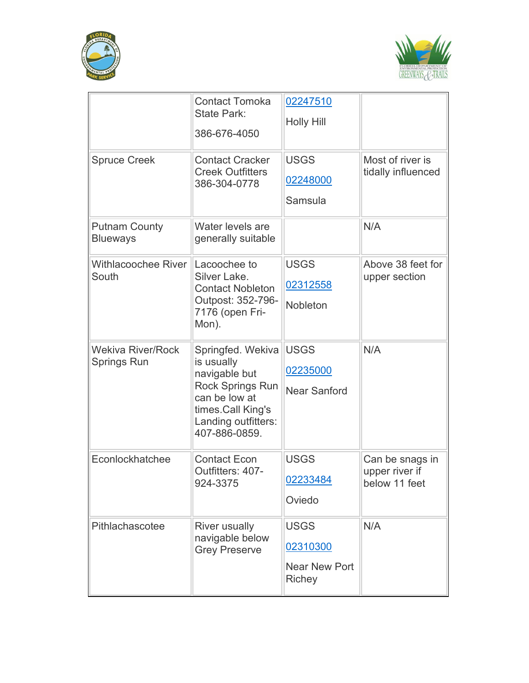



| <b>Spruce Creek</b>                            | <b>Contact Tomoka</b><br><b>State Park:</b><br>386-676-4050<br><b>Contact Cracker</b><br><b>Creek Outfitters</b><br>386-304-0778                   | 02247510<br><b>Holly Hill</b><br><b>USGS</b><br>02248000<br>Samsula | Most of river is<br>tidally influenced             |
|------------------------------------------------|----------------------------------------------------------------------------------------------------------------------------------------------------|---------------------------------------------------------------------|----------------------------------------------------|
| <b>Putnam County</b><br><b>Blueways</b>        | Water levels are<br>generally suitable                                                                                                             |                                                                     | N/A                                                |
| Withlacoochee River<br>South                   | Lacoochee to<br>Silver Lake.<br><b>Contact Nobleton</b><br>Outpost: 352-796-<br>7176 (open Fri-<br>Mon).                                           | <b>USGS</b><br>02312558<br>Nobleton                                 | Above 38 feet for<br>upper section                 |
| <b>Wekiva River/Rock</b><br><b>Springs Run</b> | Springfed. Wekiva<br>is usually<br>navigable but<br>Rock Springs Run<br>can be low at<br>times.Call King's<br>Landing outfitters:<br>407-886-0859. | <b>USGS</b><br>02235000<br><b>Near Sanford</b>                      | N/A                                                |
| Econlockhatchee                                | <b>Contact Econ</b><br>Outfitters: 407-<br>924-3375                                                                                                | <b>USGS</b><br>02233484<br>Oviedo                                   | Can be snags in<br>upper river if<br>below 11 feet |
| Pithlachascotee                                | <b>River usually</b><br>navigable below<br><b>Grey Preserve</b>                                                                                    | <b>USGS</b><br>02310300<br><b>Near New Port</b><br><b>Richey</b>    | N/A                                                |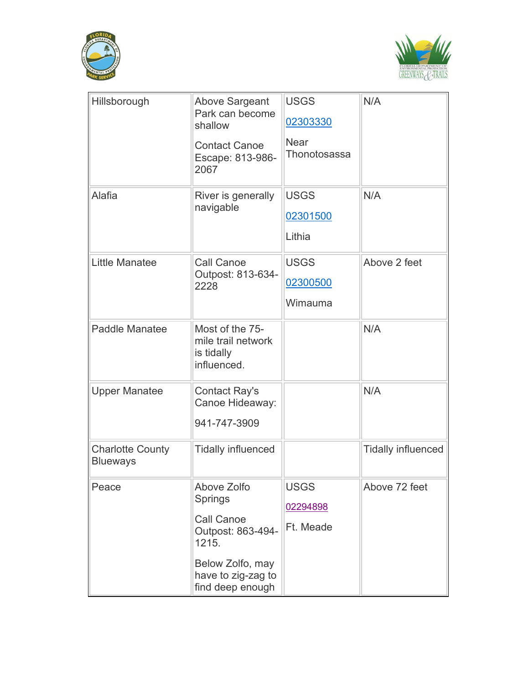



| Hillsborough                               | Above Sargeant<br>Park can become<br>shallow<br><b>Contact Canoe</b><br>Escape: 813-986-<br>2067                                               | <b>USGS</b><br>02303330<br>Near<br>Thonotosassa | N/A                       |
|--------------------------------------------|------------------------------------------------------------------------------------------------------------------------------------------------|-------------------------------------------------|---------------------------|
| Alafia                                     | River is generally<br>navigable                                                                                                                | <b>USGS</b><br>02301500<br>Lithia               | N/A                       |
| <b>Little Manatee</b>                      | <b>Call Canoe</b><br>Outpost: 813-634-<br>2228                                                                                                 | <b>USGS</b><br>02300500<br>Wimauma              | Above 2 feet              |
| <b>Paddle Manatee</b>                      | Most of the 75-<br>mile trail network<br>is tidally<br>influenced.                                                                             |                                                 | N/A                       |
| <b>Upper Manatee</b>                       | <b>Contact Ray's</b><br>Canoe Hideaway:<br>941-747-3909                                                                                        |                                                 | N/A                       |
| <b>Charlotte County</b><br><b>Blueways</b> | <b>Tidally influenced</b>                                                                                                                      |                                                 | <b>Tidally influenced</b> |
| Peace                                      | Above Zolfo<br><b>Springs</b><br><b>Call Canoe</b><br>Outpost: 863-494-<br>1215.<br>Below Zolfo, may<br>have to zig-zag to<br>find deep enough | <b>USGS</b><br>02294898<br>Ft. Meade            | Above 72 feet             |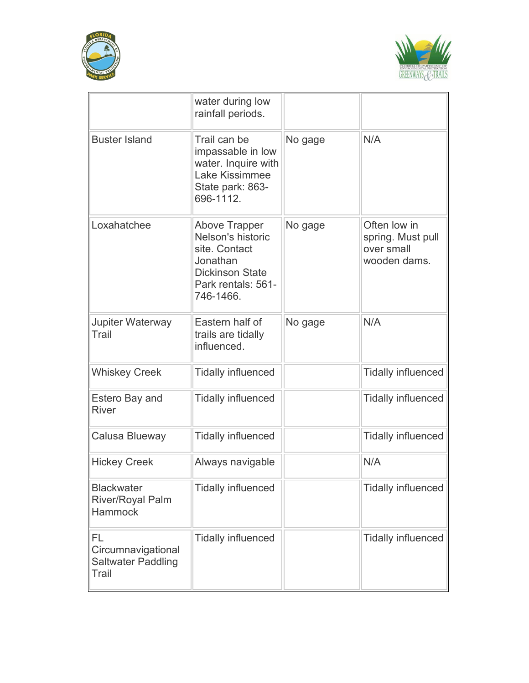



|                                                                | water during low<br>rainfall periods.                                                                                               |         |                                                                 |
|----------------------------------------------------------------|-------------------------------------------------------------------------------------------------------------------------------------|---------|-----------------------------------------------------------------|
| <b>Buster Island</b>                                           | Trail can be<br>impassable in low<br>water. Inquire with<br>Lake Kissimmee<br>State park: 863-<br>696-1112.                         | No gage | N/A                                                             |
| Loxahatchee                                                    | <b>Above Trapper</b><br>Nelson's historic<br>site. Contact<br>Jonathan<br><b>Dickinson State</b><br>Park rentals: 561-<br>746-1466. | No gage | Often low in<br>spring. Must pull<br>over small<br>wooden dams. |
| <b>Jupiter Waterway</b><br>Trail                               | Eastern half of<br>trails are tidally<br>influenced.                                                                                | No gage | N/A                                                             |
| <b>Whiskey Creek</b>                                           | <b>Tidally influenced</b>                                                                                                           |         | <b>Tidally influenced</b>                                       |
| Estero Bay and<br><b>River</b>                                 | <b>Tidally influenced</b>                                                                                                           |         | <b>Tidally influenced</b>                                       |
| Calusa Blueway                                                 | <b>Tidally influenced</b>                                                                                                           |         | <b>Tidally influenced</b>                                       |
| <b>Hickey Creek</b>                                            | Always navigable                                                                                                                    |         | N/A                                                             |
| <b>Blackwater</b><br>River/Royal Palm<br><b>Hammock</b>        | <b>Tidally influenced</b>                                                                                                           |         | <b>Tidally influenced</b>                                       |
| FL<br>Circumnavigational<br><b>Saltwater Paddling</b><br>Trail | <b>Tidally influenced</b>                                                                                                           |         | <b>Tidally influenced</b>                                       |